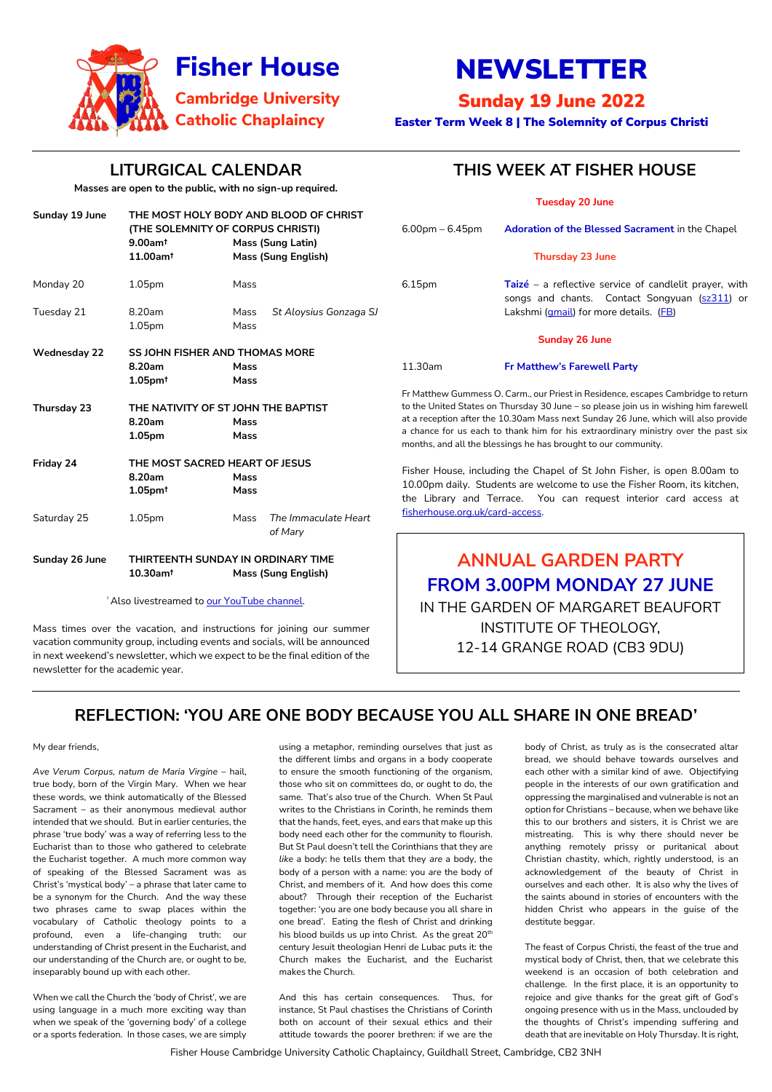Fisher House Cambridge University Catholic Chaplaincy, Guildhall Street, Cambridge, CB2 3NH



# NEWSLETTER

### Sunday 19 June 2022

Easter Term Week 8 | The Solemnity of Corpus Christi

### **LITURGICAL CALENDAR**

**Masses are open to the public, with no sign-up required.**

Mass times over the vacation, and instructions for joining our summer vacation community group, including events and socials, will be announced in next weekend's newsletter, which we expect to be the final edition of the newsletter for the academic year.

### **THIS WEEK AT FISHER HOUSE**

| <b>Tuesday 20 June</b> |  |  |  |  |
|------------------------|--|--|--|--|
|------------------------|--|--|--|--|

|                                                        |                                                                                                                                   |                      | , acsaay ev sanc                                                                                                                                                           |                                                                                                                                                                                                                         |                                                                                                         |  |
|--------------------------------------------------------|-----------------------------------------------------------------------------------------------------------------------------------|----------------------|----------------------------------------------------------------------------------------------------------------------------------------------------------------------------|-------------------------------------------------------------------------------------------------------------------------------------------------------------------------------------------------------------------------|---------------------------------------------------------------------------------------------------------|--|
| Sunday 19 June                                         | THE MOST HOLY BODY AND BLOOD OF CHRIST<br>(THE SOLEMNITY OF CORPUS CHRISTI)<br>$9.00$ am <sup>t</sup><br><b>Mass (Sung Latin)</b> |                      |                                                                                                                                                                            | $6.00$ pm – $6.45$ pm                                                                                                                                                                                                   | Adoration of the Blessed Sacrament in the Chapel                                                        |  |
|                                                        | 11.00am <sup>t</sup>                                                                                                              |                      | <b>Mass (Sung English)</b>                                                                                                                                                 |                                                                                                                                                                                                                         | <b>Thursday 23 June</b>                                                                                 |  |
| Monday 20                                              | 1.05 <sub>pm</sub>                                                                                                                | Mass                 |                                                                                                                                                                            | 6.15pm                                                                                                                                                                                                                  | Taizé – a reflective service of candlelit prayer, with<br>songs and chants. Contact Songyuan (sz311) or |  |
| Tuesday 21                                             | 8.20am                                                                                                                            | Mass                 | St Aloysius Gonzaga SJ                                                                                                                                                     |                                                                                                                                                                                                                         | Lakshmi (gmail) for more details. (FB)                                                                  |  |
|                                                        | 1.05 <sub>pm</sub>                                                                                                                | Mass                 |                                                                                                                                                                            |                                                                                                                                                                                                                         |                                                                                                         |  |
|                                                        |                                                                                                                                   |                      |                                                                                                                                                                            |                                                                                                                                                                                                                         | <b>Sunday 26 June</b>                                                                                   |  |
| <b>Wednesday 22</b>                                    | <b>SS JOHN FISHER AND THOMAS MORE</b>                                                                                             |                      |                                                                                                                                                                            |                                                                                                                                                                                                                         |                                                                                                         |  |
|                                                        | 8.20am                                                                                                                            | <b>Mass</b>          |                                                                                                                                                                            | 11.30am                                                                                                                                                                                                                 | <b>Fr Matthew's Farewell Party</b>                                                                      |  |
|                                                        | $1.05$ pm $†$                                                                                                                     | <b>Mass</b>          |                                                                                                                                                                            |                                                                                                                                                                                                                         |                                                                                                         |  |
|                                                        |                                                                                                                                   |                      |                                                                                                                                                                            |                                                                                                                                                                                                                         | Fr Matthew Gummess O. Carm., our Priest in Residence, escapes Cambridge to return                       |  |
| <b>Thursday 23</b>                                     | THE NATIVITY OF ST JOHN THE BAPTIST                                                                                               |                      | to the United States on Thursday 30 June - so please join us in wishing him farewell<br>at a reception after the 10.30am Mass next Sunday 26 June, which will also provide |                                                                                                                                                                                                                         |                                                                                                         |  |
|                                                        | 8.20am                                                                                                                            | <b>Mass</b>          |                                                                                                                                                                            |                                                                                                                                                                                                                         | a chance for us each to thank him for his extraordinary ministry over the past six                      |  |
|                                                        | 1.05pm                                                                                                                            | <b>Mass</b>          |                                                                                                                                                                            |                                                                                                                                                                                                                         | months, and all the blessings he has brought to our community.                                          |  |
| Friday 24                                              | THE MOST SACRED HEART OF JESUS                                                                                                    |                      |                                                                                                                                                                            |                                                                                                                                                                                                                         |                                                                                                         |  |
|                                                        | 8.20am                                                                                                                            | <b>Mass</b>          |                                                                                                                                                                            | Fisher House, including the Chapel of St John Fisher, is open 8.00am to<br>10.00pm daily. Students are welcome to use the Fisher Room, its kitchen,<br>the Library and Terrace. You can request interior card access at |                                                                                                         |  |
|                                                        | $1.05$ pm <sup>t</sup>                                                                                                            | <b>Mass</b>          |                                                                                                                                                                            |                                                                                                                                                                                                                         |                                                                                                         |  |
| 1.05pm<br>Saturday 25<br>Mass                          |                                                                                                                                   | The Immaculate Heart | fisherhouse.org.uk/card-access.                                                                                                                                            |                                                                                                                                                                                                                         |                                                                                                         |  |
|                                                        | of Mary                                                                                                                           |                      |                                                                                                                                                                            |                                                                                                                                                                                                                         |                                                                                                         |  |
| Sunday 26 June                                         | THIRTEENTH SUNDAY IN ORDINARY TIME                                                                                                |                      |                                                                                                                                                                            | <b>ANNUAL GARDEN PARTY</b>                                                                                                                                                                                              |                                                                                                         |  |
|                                                        | $10.30$ am <sup>t</sup>                                                                                                           |                      | <b>Mass (Sung English)</b>                                                                                                                                                 |                                                                                                                                                                                                                         |                                                                                                         |  |
|                                                        |                                                                                                                                   |                      |                                                                                                                                                                            | <b>FROM 3.00PM MONDAY 27 JUNE</b>                                                                                                                                                                                       |                                                                                                         |  |
| <sup>†</sup> Also livestreamed to our YouTube channel. |                                                                                                                                   |                      |                                                                                                                                                                            | IN TUE CADDEN OF MADCADET DEALIEODT                                                                                                                                                                                     |                                                                                                         |  |

IN THE GARDEN OF MARGARET BEAUFORT INSTITUTE OF THEOLOGY, 12-14 GRANGE ROAD (CB3 9DU)

### **REFLECTION: 'YOU ARE ONE BODY BECAUSE YOU ALL SHARE IN ONE BREAD'**

My dear friends,

*Ave Verum Corpus, natum de Maria Virgine* – hail, true body, born of the Virgin Mary. When we hear these words, we think automatically of the Blessed Sacrament – as their anonymous medieval author intended that we should. But in earlier centuries, the phrase 'true body' was a way of referring less to the Eucharist than to those who gathered to celebrate the Eucharist together. A much more common way of speaking of the Blessed Sacrament was as Christ's 'mystical body' – a phrase that later came to be a synonym for the Church. And the way these two phrases came to swap places within the vocabulary of Catholic theology points to a profound, even a life-changing truth: our understanding of Christ present in the Eucharist, and our understanding of the Church are, or ought to be, inseparably bound up with each other.

When we call the Church the 'body of Christ', we are using language in a much more exciting way than when we speak of the 'governing body' of a college or a sports federation. In those cases, we are simply

using a metaphor, reminding ourselves that just as the different limbs and organs in a body cooperate to ensure the smooth functioning of the organism, those who sit on committees do, or ought to do, the same. That's also true of the Church. When St Paul writes to the Christians in Corinth, he reminds them that the hands, feet, eyes, and ears that make up this body need each other for the community to flourish. But St Paul doesn't tell the Corinthians that they are *like* a body: he tells them that they *are* a body, the body of a person with a name: you *are* the body of Christ, and members of it. And how does this come about? Through their reception of the Eucharist together: 'you are one body because you all share in one bread'. Eating the flesh of Christ and drinking his blood builds us up into Christ. As the great 20<sup>th</sup> century Jesuit theologian Henri de Lubac puts it: the Church makes the Eucharist, and the Eucharist makes the Church.

And this has certain consequences. Thus, for instance, St Paul chastises the Christians of Corinth both on account of their sexual ethics and their attitude towards the poorer brethren: if we are the

body of Christ, as truly as is the consecrated altar bread, we should behave towards ourselves and each other with a similar kind of awe. Objectifying people in the interests of our own gratification and oppressing the marginalised and vulnerable is not an option for Christians – because, when we behave like this to our brothers and sisters, it is Christ we are mistreating. This is why there should never be anything remotely prissy or puritanical about Christian chastity, which, rightly understood, is an acknowledgement of the beauty of Christ in ourselves and each other. It is also why the lives of the saints abound in stories of encounters with the hidden Christ who appears in the guise of the destitute beggar.

The feast of Corpus Christi, the feast of the true and mystical body of Christ, then, that we celebrate this weekend is an occasion of both celebration and challenge. In the first place, it is an opportunity to rejoice and give thanks for the great gift of God's ongoing presence with us in the Mass, unclouded by the thoughts of Christ's impending suffering and death that are inevitable on Holy Thursday. It is right,